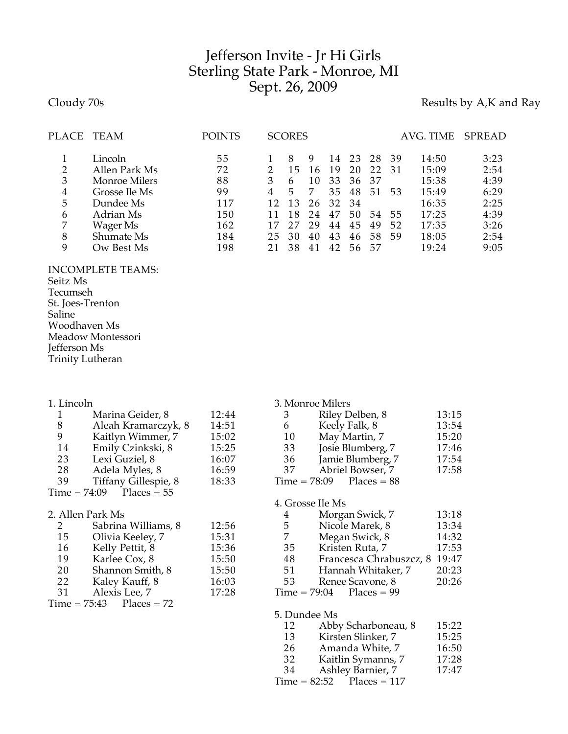## Jefferson Invite - Jr Hi Girls Sterling State Park - Monroe, MI Sept. 26, 2009

Cloudy 70s **Results by A,K and Ray** 

| <b>PLACE</b>          | TEAM                                                                                        | <b>POINTS</b>                      |         | <b>SCORES</b>            |                                 |                                  |                                  |                            |                         | AVG. TIME                                          | SPREAD                                       |
|-----------------------|---------------------------------------------------------------------------------------------|------------------------------------|---------|--------------------------|---------------------------------|----------------------------------|----------------------------------|----------------------------|-------------------------|----------------------------------------------------|----------------------------------------------|
| 2<br>3<br>4<br>5<br>6 | Lincoln<br>Allen Park Ms<br><b>Monroe Milers</b><br>Grosse Ile Ms<br>Dundee Ms<br>Adrian Ms | 55<br>72<br>88<br>99<br>117<br>150 | 3<br>12 | 15<br>6<br>5<br>13<br>18 | 9<br>16<br>10<br>-7<br>26<br>24 | 14<br>19<br>33<br>35<br>32<br>47 | 23<br>20<br>36<br>48<br>34<br>50 | 28<br>22<br>37<br>51<br>54 | -39<br>-31<br>53<br>-55 | 14:50<br>15:09<br>15:38<br>15:49<br>16:35<br>17:25 | 3:23<br>2:54<br>4:39<br>6:29<br>2:25<br>4:39 |
| 7<br>8<br>9           | Wager Ms<br>Shumate Ms<br>Ow Best Ms                                                        | 162<br>184<br>198                  | 25      | 30<br>38                 | 29<br>40<br>41                  | 44<br>43<br>42                   | 45<br>46<br>56                   | 49<br>58<br>57             | 52<br>59                | 17:35<br>18:05<br>19:24                            | 3:26<br>2:54<br>9:05                         |

## INCOMPLETE TEAMS: Seitz Ms Tecumseh St. Joes-Trenton Saline Woodhaven Ms Meadow Montessori Jefferson Ms Trinity Lutheran

| 1. Lincoln   |                            |       |                | 3. Monroe Milers           |                |  |  |
|--------------|----------------------------|-------|----------------|----------------------------|----------------|--|--|
| $\mathbf{1}$ | Marina Geider, 8           | 12:44 | 3              | Riley Delben, 8            | 13:15          |  |  |
| $\,8\,$      | Aleah Kramarczyk, 8        | 14:51 | 6              | Keely Falk, 8              | 13:54          |  |  |
| 9            | Kaitlyn Wimmer, 7          | 15:02 | 10             | May Martin, 7              | 15:20          |  |  |
| 14           | Emily Czinkski, 8          | 15:25 | 33             | Josie Blumberg, 7          |                |  |  |
| 23           | Lexi Guziel, 8             | 16:07 |                | 36 Jamie Blumberg, 7       |                |  |  |
| 28           | Adela Myles, 8             | 16:59 | 37             | Abriel Bowser, 7           | 17:54<br>17:58 |  |  |
| 39           | Tiffany Gillespie, 8       | 18:33 |                | $Time = 78:09$ Places = 88 |                |  |  |
|              | $Time = 74:09$ Places = 55 |       |                |                            |                |  |  |
|              |                            |       |                | 4. Grosse Ile Ms           |                |  |  |
|              | 2. Allen Park Ms           |       | 4              | Morgan Swick, 7            | 13:18          |  |  |
| $\mathbf{2}$ | Sabrina Williams, 8        | 12:56 | 5 <sup>5</sup> | Nicole Marek, 8            | 13:34          |  |  |
| 15           | Olivia Keeley, 7           | 15:31 | 7              | Megan Swick, 8             | 14:32          |  |  |
| 16           | Kelly Pettit, 8            | 15:36 | 35             | Kristen Ruta, 7            | 17:53          |  |  |
| 19           | Karlee Cox, 8              | 15:50 | 48             | Francesca Chrabuszcz, 8    | 19:47          |  |  |
| 20           | Shannon Smith, 8           | 15:50 | 51             | Hannah Whitaker, 7         | 20:23          |  |  |
| 22           | Kaley Kauff, 8             | 16:03 | 53             | Renee Scavone, 8           | 20:26          |  |  |
| 31           | Alexis Lee, 7              | 17:28 |                | $Time = 79:04$ Places = 99 |                |  |  |
|              | $Time = 75:43$ Places = 72 |       |                |                            |                |  |  |
|              |                            |       | 5. Dundee Ms   |                            |                |  |  |
|              |                            |       | 12             | Abby Scharboneau, 8        | 15:22          |  |  |
|              |                            |       |                | $12 \tV$ instera Climber 7 | イロ・ウロ          |  |  |

- 13 Kirsten Slinker, 7 15:25<br>26 Amanda White, 7 16:50 26 Amanda White, 7 16:50<br>32 Kaitlin Symanns, 7 17:28
- 32 Kaitlin Symanns, 7 17:28<br>34 Ashlev Barnier, 7 17:47
- Ashley Barnier, 7  $Time = 82:52$  Places = 117